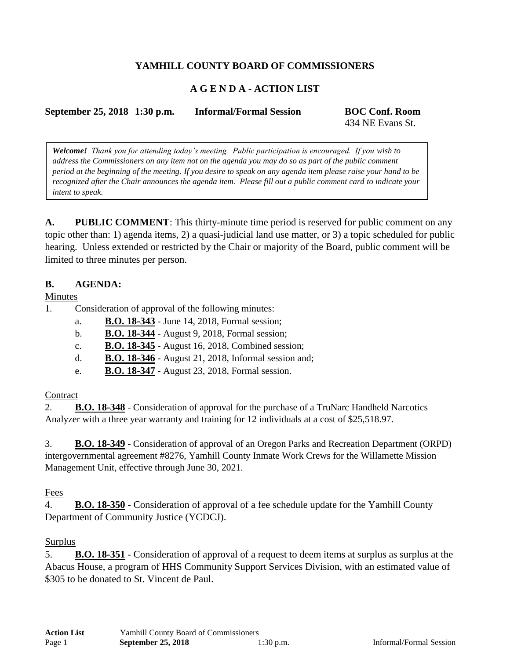# **YAMHILL COUNTY BOARD OF COMMISSIONERS**

## **A G E N D A - ACTION LIST**

**September 25, 2018 1:30 p.m. Informal/Formal Session BOC Conf. Room**

434 NE Evans St.

*Welcome! Thank you for attending today's meeting. Public participation is encouraged. If you wish to address the Commissioners on any item not on the agenda you may do so as part of the public comment period at the beginning of the meeting. If you desire to speak on any agenda item please raise your hand to be recognized after the Chair announces the agenda item. Please fill out a public comment card to indicate your intent to speak.*

**A. PUBLIC COMMENT**: This thirty-minute time period is reserved for public comment on any topic other than: 1) agenda items, 2) a quasi-judicial land use matter, or 3) a topic scheduled for public hearing. Unless extended or restricted by the Chair or majority of the Board, public comment will be limited to three minutes per person.

## **B. AGENDA:**

Minutes

- 1. Consideration of approval of the following minutes:
	- a. **B.O. 18-343** June 14, 2018, Formal session;
	- b. **B.O. 18-344** August 9, 2018, Formal session;
	- c. **B.O. 18-345** August 16, 2018, Combined session;
	- d. **B.O. 18-346** August 21, 2018, Informal session and;
	- e. **B.O. 18-347** August 23, 2018, Formal session.

#### **Contract**

2. **B.O. 18-348** - Consideration of approval for the purchase of a TruNarc Handheld Narcotics Analyzer with a three year warranty and training for 12 individuals at a cost of \$25,518.97.

3. **B.O. 18-349** - Consideration of approval of an Oregon Parks and Recreation Department (ORPD) intergovernmental agreement #8276, Yamhill County Inmate Work Crews for the Willamette Mission Management Unit, effective through June 30, 2021.

#### Fees

4. **B.O. 18-350** - Consideration of approval of a fee schedule update for the Yamhill County Department of Community Justice (YCDCJ).

#### Surplus

5. **B.O. 18-351** - Consideration of approval of a request to deem items at surplus as surplus at the Abacus House, a program of HHS Community Support Services Division, with an estimated value of \$305 to be donated to St. Vincent de Paul.